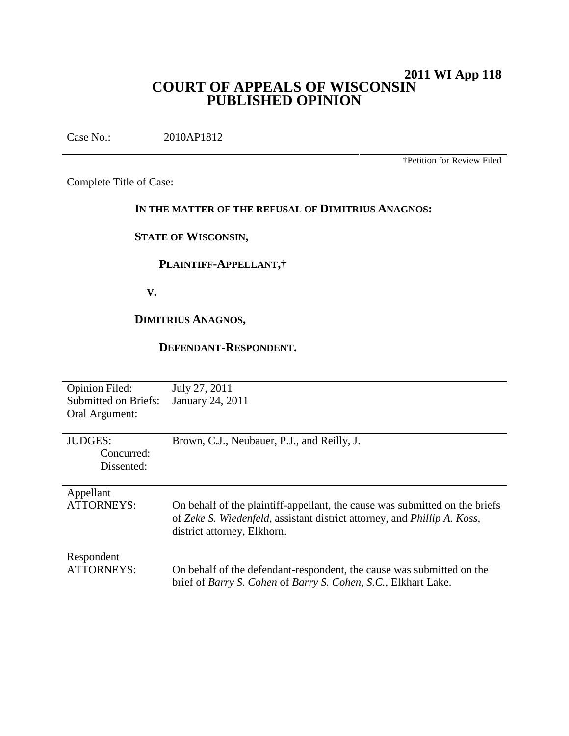# **2011 WI App 118 COURT OF APPEALS OF WISCONSIN PUBLISHED OPINION**

Case No.: 2010AP1812

†Petition for Review Filed

Complete Title of Case:

# **IN THE MATTER OF THE REFUSAL OF DIMITRIUS ANAGNOS:**

# **STATE OF WISCONSIN,**

# **PLAINTIFF-APPELLANT,†**

**V.**

# **DIMITRIUS ANAGNOS,**

## **DEFENDANT-RESPONDENT.**

| <b>Opinion Filed:</b>       | July 27, 2011                                                                 |
|-----------------------------|-------------------------------------------------------------------------------|
| <b>Submitted on Briefs:</b> | January 24, 2011                                                              |
| Oral Argument:              |                                                                               |
|                             |                                                                               |
| <b>JUDGES:</b>              | Brown, C.J., Neubauer, P.J., and Reilly, J.                                   |
| Concurred:                  |                                                                               |
| Dissented:                  |                                                                               |
|                             |                                                                               |
| Appellant                   |                                                                               |
| <b>ATTORNEYS:</b>           | On behalf of the plaintiff-appellant, the cause was submitted on the briefs   |
|                             | of Zeke S. Wiedenfeld, assistant district attorney, and Phillip A. Koss,      |
|                             | district attorney, Elkhorn.                                                   |
|                             |                                                                               |
| Respondent                  |                                                                               |
| ATTORNEYS:                  | On behalf of the defendant-respondent, the cause was submitted on the         |
|                             | brief of <i>Barry S. Cohen</i> of <i>Barry S. Cohen, S.C.</i> , Elkhart Lake. |
|                             |                                                                               |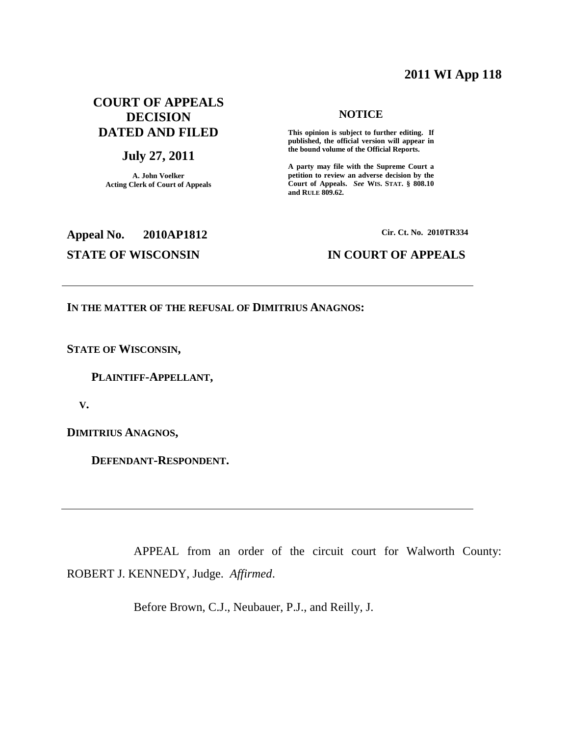# **2011 WI App 118**

# **COURT OF APPEALS DECISION DATED AND FILED**

# **July 27, 2011**

**A. John Voelker Acting Clerk of Court of Appeals**

## **NOTICE**

**This opinion is subject to further editing. If published, the official version will appear in the bound volume of the Official Reports.**

**A party may file with the Supreme Court a petition to review an adverse decision by the Court of Appeals.** *See* **WIS. STAT. § 808.10 and RULE 809.62.**

# **Appeal No. 2010AP1812 STATE OF WISCONSIN IN COURT OF APPEALS**

**Cir. Ct. No. 2010TR334**

## **IN THE MATTER OF THE REFUSAL OF DIMITRIUS ANAGNOS:**

**STATE OF WISCONSIN,**

**PLAINTIFF-APPELLANT,**

**V.**

**DIMITRIUS ANAGNOS,**

**DEFENDANT-RESPONDENT.**

APPEAL from an order of the circuit court for Walworth County: ROBERT J. KENNEDY, Judge. *Affirmed*.

Before Brown, C.J., Neubauer, P.J., and Reilly, J.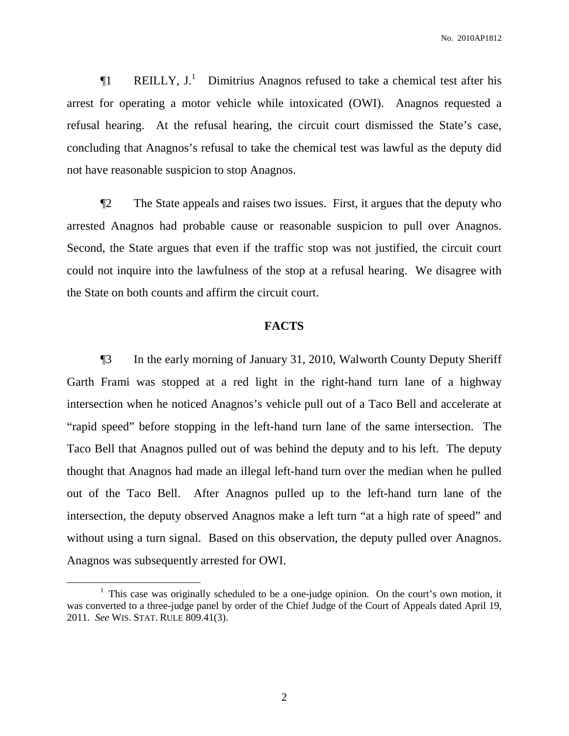**The REILLY, J.**<sup>1</sup> Dimitrius Anagnos refused to take a chemical test after his arrest for operating a motor vehicle while intoxicated (OWI). Anagnos requested a refusal hearing. At the refusal hearing, the circuit court dismissed the State's case, concluding that Anagnos's refusal to take the chemical test was lawful as the deputy did not have reasonable suspicion to stop Anagnos.

¶2 The State appeals and raises two issues. First, it argues that the deputy who arrested Anagnos had probable cause or reasonable suspicion to pull over Anagnos. Second, the State argues that even if the traffic stop was not justified, the circuit court could not inquire into the lawfulness of the stop at a refusal hearing. We disagree with the State on both counts and affirm the circuit court.

## **FACTS**

¶3 In the early morning of January 31, 2010, Walworth County Deputy Sheriff Garth Frami was stopped at a red light in the right-hand turn lane of a highway intersection when he noticed Anagnos's vehicle pull out of a Taco Bell and accelerate at "rapid speed" before stopping in the left-hand turn lane of the same intersection. The Taco Bell that Anagnos pulled out of was behind the deputy and to his left. The deputy thought that Anagnos had made an illegal left-hand turn over the median when he pulled out of the Taco Bell. After Anagnos pulled up to the left-hand turn lane of the intersection, the deputy observed Anagnos make a left turn "at a high rate of speed" and without using a turn signal. Based on this observation, the deputy pulled over Anagnos. Anagnos was subsequently arrested for OWI.

 $1$  This case was originally scheduled to be a one-judge opinion. On the court's own motion, it was converted to a three-judge panel by order of the Chief Judge of the Court of Appeals dated April 19, 2011. *See* WIS. STAT. RULE 809.41(3).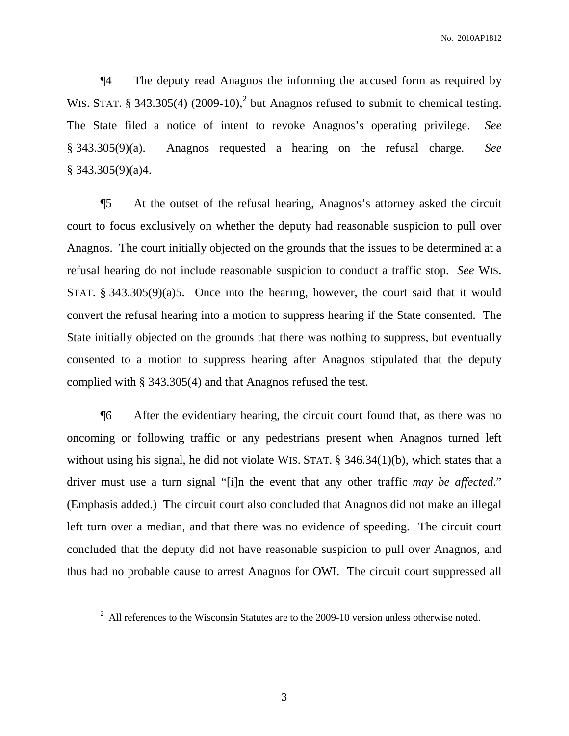No. 2010AP1812

¶4 The deputy read Anagnos the informing the accused form as required by WIS. STAT. § 343.305(4)  $(2009-10)$ ,<sup>2</sup> but Anagnos refused to submit to chemical testing. The State filed a notice of intent to revoke Anagnos's operating privilege. *See* § 343.305(9)(a). Anagnos requested a hearing on the refusal charge. *See*  $§$  343.305(9)(a)4.

¶5 At the outset of the refusal hearing, Anagnos's attorney asked the circuit court to focus exclusively on whether the deputy had reasonable suspicion to pull over Anagnos. The court initially objected on the grounds that the issues to be determined at a refusal hearing do not include reasonable suspicion to conduct a traffic stop. *See* WIS. STAT. § 343.305(9)(a)5. Once into the hearing, however, the court said that it would convert the refusal hearing into a motion to suppress hearing if the State consented. The State initially objected on the grounds that there was nothing to suppress, but eventually consented to a motion to suppress hearing after Anagnos stipulated that the deputy complied with § 343.305(4) and that Anagnos refused the test.

¶6 After the evidentiary hearing, the circuit court found that, as there was no oncoming or following traffic or any pedestrians present when Anagnos turned left without using his signal, he did not violate WIS. STAT. § 346.34(1)(b), which states that a driver must use a turn signal "[i]n the event that any other traffic *may be affected*." (Emphasis added.) The circuit court also concluded that Anagnos did not make an illegal left turn over a median, and that there was no evidence of speeding. The circuit court concluded that the deputy did not have reasonable suspicion to pull over Anagnos, and thus had no probable cause to arrest Anagnos for OWI. The circuit court suppressed all

 $2$  All references to the Wisconsin Statutes are to the 2009-10 version unless otherwise noted.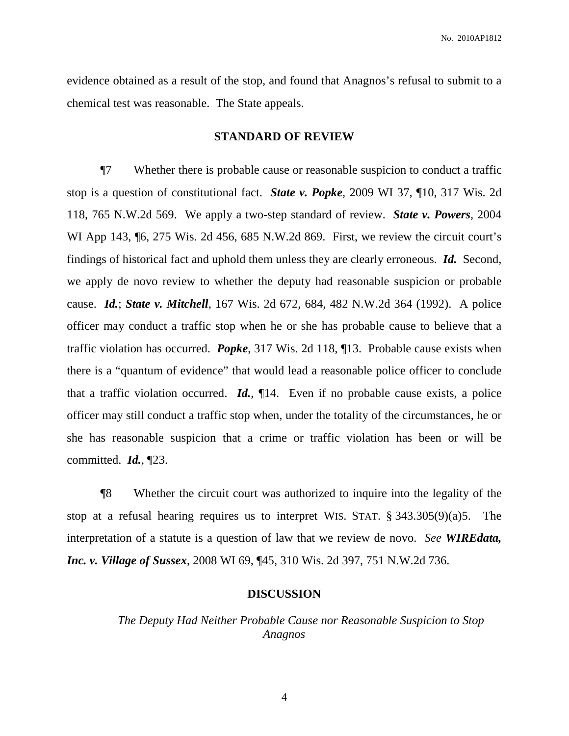evidence obtained as a result of the stop, and found that Anagnos's refusal to submit to a chemical test was reasonable. The State appeals.

## **STANDARD OF REVIEW**

¶7 Whether there is probable cause or reasonable suspicion to conduct a traffic stop is a question of constitutional fact. *State v. Popke*, 2009 WI 37, ¶10, 317 Wis. 2d 118, 765 N.W.2d 569. We apply a two-step standard of review. *State v. Powers*, 2004 WI App 143,  $\%$  6, 275 Wis. 2d 456, 685 N.W.2d 869. First, we review the circuit court's findings of historical fact and uphold them unless they are clearly erroneous. *Id.* Second, we apply de novo review to whether the deputy had reasonable suspicion or probable cause. *Id.*; *State v. Mitchell*, 167 Wis. 2d 672, 684, 482 N.W.2d 364 (1992). A police officer may conduct a traffic stop when he or she has probable cause to believe that a traffic violation has occurred. *Popke*, 317 Wis. 2d 118, ¶13. Probable cause exists when there is a "quantum of evidence" that would lead a reasonable police officer to conclude that a traffic violation occurred. *Id.*, ¶14. Even if no probable cause exists, a police officer may still conduct a traffic stop when, under the totality of the circumstances, he or she has reasonable suspicion that a crime or traffic violation has been or will be committed. *Id.*, ¶23.

¶8 Whether the circuit court was authorized to inquire into the legality of the stop at a refusal hearing requires us to interpret WIS. STAT. § 343.305(9)(a)5. The interpretation of a statute is a question of law that we review de novo. *See WIREdata, Inc. v. Village of Sussex*, 2008 WI 69, ¶45, 310 Wis. 2d 397, 751 N.W.2d 736.

## **DISCUSSION**

# *The Deputy Had Neither Probable Cause nor Reasonable Suspicion to Stop Anagnos*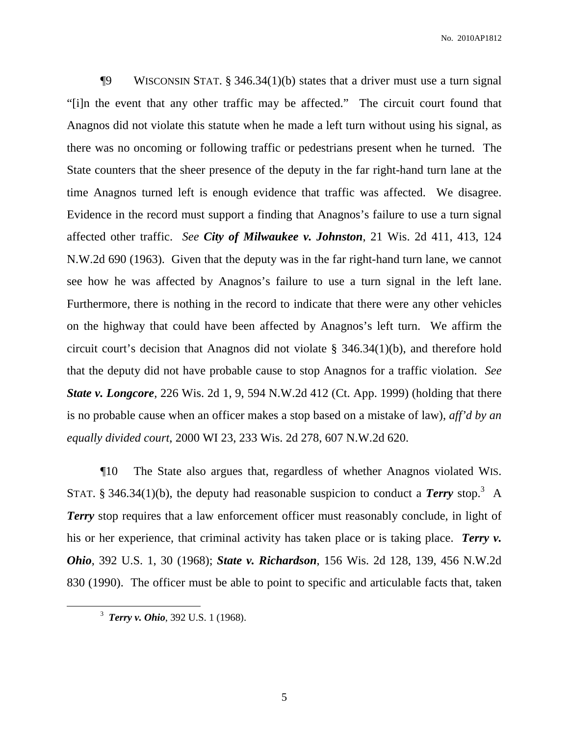$\P9$  WISCONSIN STAT. § 346.34(1)(b) states that a driver must use a turn signal "[i]n the event that any other traffic may be affected." The circuit court found that Anagnos did not violate this statute when he made a left turn without using his signal, as there was no oncoming or following traffic or pedestrians present when he turned. The State counters that the sheer presence of the deputy in the far right-hand turn lane at the time Anagnos turned left is enough evidence that traffic was affected. We disagree. Evidence in the record must support a finding that Anagnos's failure to use a turn signal affected other traffic. *See City of Milwaukee v. Johnston*, 21 Wis. 2d 411, 413, 124 N.W.2d 690 (1963). Given that the deputy was in the far right-hand turn lane, we cannot see how he was affected by Anagnos's failure to use a turn signal in the left lane. Furthermore, there is nothing in the record to indicate that there were any other vehicles on the highway that could have been affected by Anagnos's left turn. We affirm the circuit court's decision that Anagnos did not violate § 346.34(1)(b), and therefore hold that the deputy did not have probable cause to stop Anagnos for a traffic violation. *See State v. Longcore*, 226 Wis. 2d 1, 9, 594 N.W.2d 412 (Ct. App. 1999) (holding that there is no probable cause when an officer makes a stop based on a mistake of law), *aff'd by an equally divided court*, 2000 WI 23, 233 Wis. 2d 278, 607 N.W.2d 620.

¶10 The State also argues that, regardless of whether Anagnos violated WIS. STAT. § 346.34(1)(b), the deputy had reasonable suspicion to conduct a *Terry* stop.<sup>3</sup> A **Terry** stop requires that a law enforcement officer must reasonably conclude, in light of his or her experience, that criminal activity has taken place or is taking place. *Terry v. Ohio*, 392 U.S. 1, 30 (1968); *State v. Richardson*, 156 Wis. 2d 128, 139, 456 N.W.2d 830 (1990). The officer must be able to point to specific and articulable facts that, taken

<sup>3</sup> *Terry v. Ohio*, 392 U.S. 1 (1968).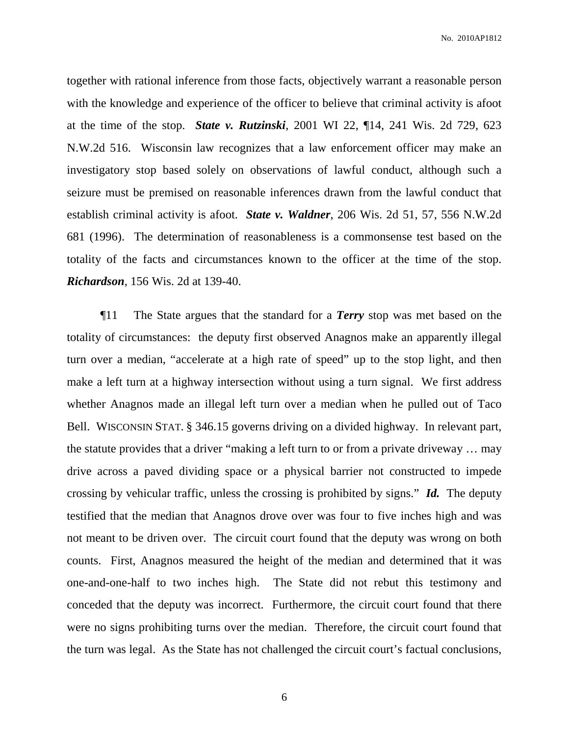No. 2010AP1812

together with rational inference from those facts, objectively warrant a reasonable person with the knowledge and experience of the officer to believe that criminal activity is afoot at the time of the stop. *State v. Rutzinski*, 2001 WI 22, ¶14, 241 Wis. 2d 729, 623 N.W.2d 516. Wisconsin law recognizes that a law enforcement officer may make an investigatory stop based solely on observations of lawful conduct, although such a seizure must be premised on reasonable inferences drawn from the lawful conduct that establish criminal activity is afoot. *State v. Waldner*, 206 Wis. 2d 51, 57, 556 N.W.2d 681 (1996). The determination of reasonableness is a commonsense test based on the totality of the facts and circumstances known to the officer at the time of the stop. *Richardson*, 156 Wis. 2d at 139-40.

¶11 The State argues that the standard for a *Terry* stop was met based on the totality of circumstances: the deputy first observed Anagnos make an apparently illegal turn over a median, "accelerate at a high rate of speed" up to the stop light, and then make a left turn at a highway intersection without using a turn signal. We first address whether Anagnos made an illegal left turn over a median when he pulled out of Taco Bell. WISCONSIN STAT. § 346.15 governs driving on a divided highway. In relevant part, the statute provides that a driver "making a left turn to or from a private driveway … may drive across a paved dividing space or a physical barrier not constructed to impede crossing by vehicular traffic, unless the crossing is prohibited by signs." *Id.* The deputy testified that the median that Anagnos drove over was four to five inches high and was not meant to be driven over. The circuit court found that the deputy was wrong on both counts. First, Anagnos measured the height of the median and determined that it was one-and-one-half to two inches high. The State did not rebut this testimony and conceded that the deputy was incorrect. Furthermore, the circuit court found that there were no signs prohibiting turns over the median. Therefore, the circuit court found that the turn was legal. As the State has not challenged the circuit court's factual conclusions,

6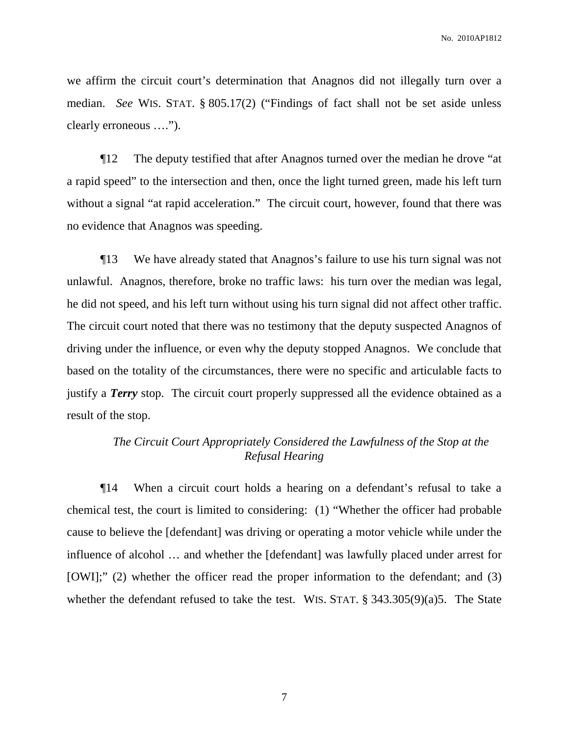we affirm the circuit court's determination that Anagnos did not illegally turn over a median. *See* WIS. STAT. § 805.17(2) ("Findings of fact shall not be set aside unless clearly erroneous ….").

¶12 The deputy testified that after Anagnos turned over the median he drove "at a rapid speed" to the intersection and then, once the light turned green, made his left turn without a signal "at rapid acceleration." The circuit court, however, found that there was no evidence that Anagnos was speeding.

¶13 We have already stated that Anagnos's failure to use his turn signal was not unlawful. Anagnos, therefore, broke no traffic laws: his turn over the median was legal, he did not speed, and his left turn without using his turn signal did not affect other traffic. The circuit court noted that there was no testimony that the deputy suspected Anagnos of driving under the influence, or even why the deputy stopped Anagnos. We conclude that based on the totality of the circumstances, there were no specific and articulable facts to justify a *Terry* stop. The circuit court properly suppressed all the evidence obtained as a result of the stop.

# *The Circuit Court Appropriately Considered the Lawfulness of the Stop at the Refusal Hearing*

¶14 When a circuit court holds a hearing on a defendant's refusal to take a chemical test, the court is limited to considering: (1) "Whether the officer had probable cause to believe the [defendant] was driving or operating a motor vehicle while under the influence of alcohol … and whether the [defendant] was lawfully placed under arrest for [OWI];" (2) whether the officer read the proper information to the defendant; and (3) whether the defendant refused to take the test. WIS. STAT. § 343.305(9)(a)5. The State

7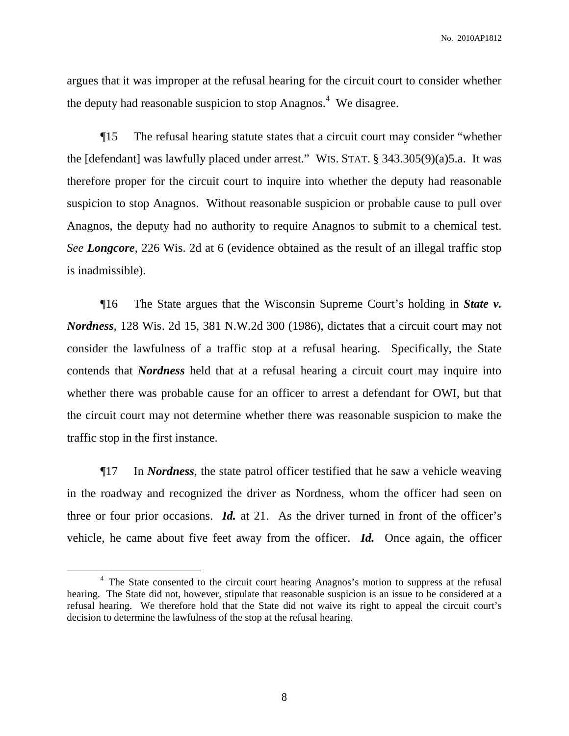No. 2010AP1812

argues that it was improper at the refusal hearing for the circuit court to consider whether the deputy had reasonable suspicion to stop Anagnos.<sup>4</sup> We disagree.

¶15 The refusal hearing statute states that a circuit court may consider "whether the [defendant] was lawfully placed under arrest." WIS. STAT. § 343.305(9)(a)5.a. It was therefore proper for the circuit court to inquire into whether the deputy had reasonable suspicion to stop Anagnos. Without reasonable suspicion or probable cause to pull over Anagnos, the deputy had no authority to require Anagnos to submit to a chemical test. *See Longcore*, 226 Wis. 2d at 6 (evidence obtained as the result of an illegal traffic stop is inadmissible).

¶16 The State argues that the Wisconsin Supreme Court's holding in *State v. Nordness*, 128 Wis. 2d 15, 381 N.W.2d 300 (1986), dictates that a circuit court may not consider the lawfulness of a traffic stop at a refusal hearing. Specifically, the State contends that *Nordness* held that at a refusal hearing a circuit court may inquire into whether there was probable cause for an officer to arrest a defendant for OWI, but that the circuit court may not determine whether there was reasonable suspicion to make the traffic stop in the first instance.

¶17 In *Nordness*, the state patrol officer testified that he saw a vehicle weaving in the roadway and recognized the driver as Nordness, whom the officer had seen on three or four prior occasions. *Id.* at 21. As the driver turned in front of the officer's vehicle, he came about five feet away from the officer. *Id.* Once again, the officer

<sup>&</sup>lt;sup>4</sup> The State consented to the circuit court hearing Anagnos's motion to suppress at the refusal hearing. The State did not, however, stipulate that reasonable suspicion is an issue to be considered at a refusal hearing. We therefore hold that the State did not waive its right to appeal the circuit court's decision to determine the lawfulness of the stop at the refusal hearing.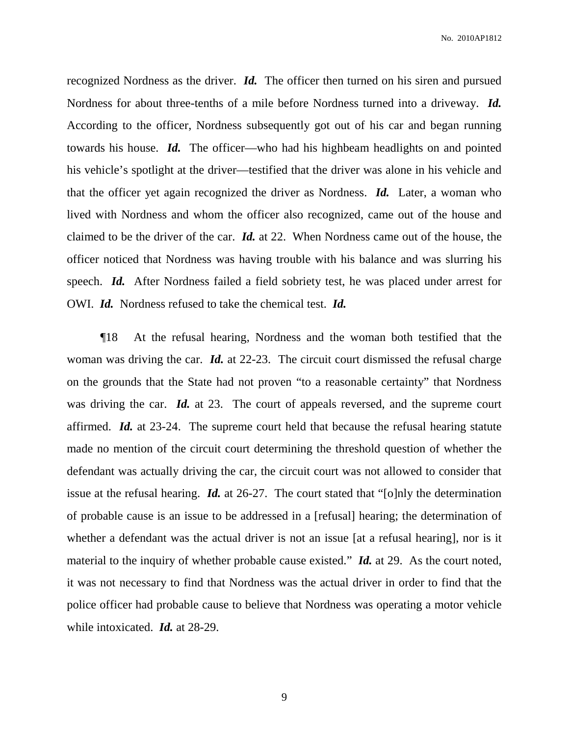recognized Nordness as the driver. *Id.* The officer then turned on his siren and pursued Nordness for about three-tenths of a mile before Nordness turned into a driveway. *Id.* According to the officer, Nordness subsequently got out of his car and began running towards his house. *Id.* The officer—who had his highbeam headlights on and pointed his vehicle's spotlight at the driver—testified that the driver was alone in his vehicle and that the officer yet again recognized the driver as Nordness. *Id.* Later, a woman who lived with Nordness and whom the officer also recognized, came out of the house and claimed to be the driver of the car. *Id.* at 22. When Nordness came out of the house, the officer noticed that Nordness was having trouble with his balance and was slurring his speech. *Id.* After Nordness failed a field sobriety test, he was placed under arrest for OWI. *Id.* Nordness refused to take the chemical test. *Id.*

¶18 At the refusal hearing, Nordness and the woman both testified that the woman was driving the car. *Id.* at 22-23. The circuit court dismissed the refusal charge on the grounds that the State had not proven "to a reasonable certainty" that Nordness was driving the car. *Id.* at 23. The court of appeals reversed, and the supreme court affirmed. *Id.* at 23-24. The supreme court held that because the refusal hearing statute made no mention of the circuit court determining the threshold question of whether the defendant was actually driving the car, the circuit court was not allowed to consider that issue at the refusal hearing. *Id.* at 26-27. The court stated that "[o]nly the determination of probable cause is an issue to be addressed in a [refusal] hearing; the determination of whether a defendant was the actual driver is not an issue [at a refusal hearing], nor is it material to the inquiry of whether probable cause existed." *Id.* at 29. As the court noted, it was not necessary to find that Nordness was the actual driver in order to find that the police officer had probable cause to believe that Nordness was operating a motor vehicle while intoxicated. *Id.* at 28-29.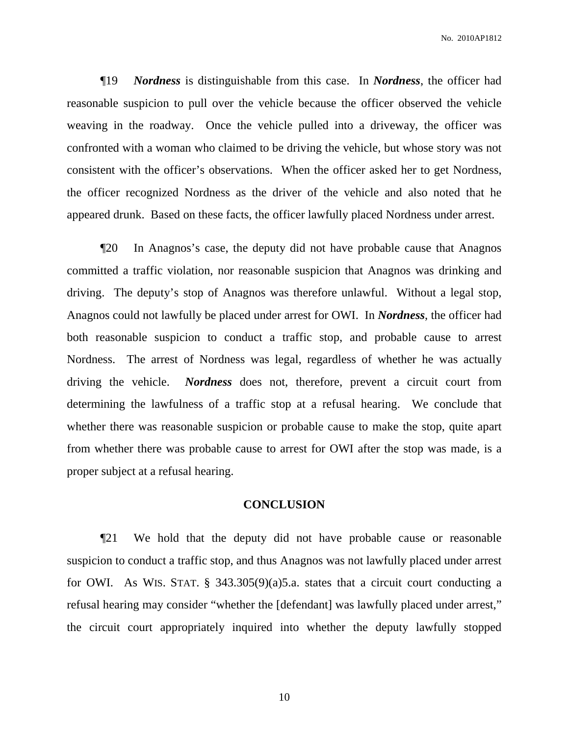¶19 *Nordness* is distinguishable from this case. In *Nordness*, the officer had reasonable suspicion to pull over the vehicle because the officer observed the vehicle weaving in the roadway. Once the vehicle pulled into a driveway, the officer was confronted with a woman who claimed to be driving the vehicle, but whose story was not consistent with the officer's observations. When the officer asked her to get Nordness, the officer recognized Nordness as the driver of the vehicle and also noted that he appeared drunk. Based on these facts, the officer lawfully placed Nordness under arrest.

¶20 In Anagnos's case, the deputy did not have probable cause that Anagnos committed a traffic violation, nor reasonable suspicion that Anagnos was drinking and driving. The deputy's stop of Anagnos was therefore unlawful. Without a legal stop, Anagnos could not lawfully be placed under arrest for OWI. In *Nordness*, the officer had both reasonable suspicion to conduct a traffic stop, and probable cause to arrest Nordness. The arrest of Nordness was legal, regardless of whether he was actually driving the vehicle. *Nordness* does not, therefore, prevent a circuit court from determining the lawfulness of a traffic stop at a refusal hearing. We conclude that whether there was reasonable suspicion or probable cause to make the stop, quite apart from whether there was probable cause to arrest for OWI after the stop was made, is a proper subject at a refusal hearing.

### **CONCLUSION**

¶21 We hold that the deputy did not have probable cause or reasonable suspicion to conduct a traffic stop, and thus Anagnos was not lawfully placed under arrest for OWI. As WIS. STAT. § 343.305(9)(a)5.a. states that a circuit court conducting a refusal hearing may consider "whether the [defendant] was lawfully placed under arrest," the circuit court appropriately inquired into whether the deputy lawfully stopped

10